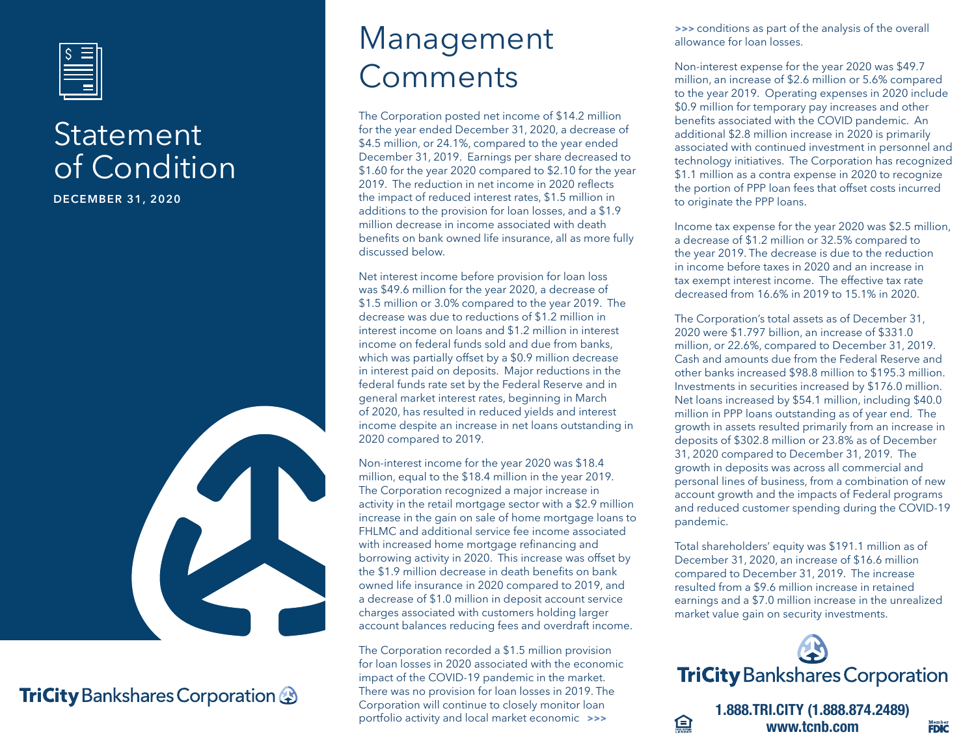

#### **Statement** of Condition

**DECEMBER 31, 2020**



#### **TriCity** Bankshares Corporation

## Management Comments

The Corporation posted net income of \$14.2 million for the year ended December 31, 2020, a decrease of \$4.5 million, or 24.1%, compared to the year ended December 31, 2019. Earnings per share decreased to \$1.60 for the year 2020 compared to \$2.10 for the year 2019. The reduction in net income in 2020 reflects the impact of reduced interest rates, \$1.5 million in additions to the provision for loan losses, and a \$1.9 million decrease in income associated with death benefits on bank owned life insurance, all as more fully discussed below.

Net interest income before provision for loan loss was \$49.6 million for the year 2020, a decrease of \$1.5 million or 3.0% compared to the year 2019. The decrease was due to reductions of \$1.2 million in interest income on loans and \$1.2 million in interest income on federal funds sold and due from banks, which was partially offset by a \$0.9 million decrease in interest paid on deposits. Major reductions in the federal funds rate set by the Federal Reserve and in general market interest rates, beginning in March of 2020, has resulted in reduced yields and interest income despite an increase in net loans outstanding in 2020 compared to 2019.

Non-interest income for the year 2020 was \$18.4 million, equal to the \$18.4 million in the year 2019. The Corporation recognized a major increase in activity in the retail mortgage sector with a \$2.9 million increase in the gain on sale of home mortgage loans to FHLMC and additional service fee income associated with increased home mortgage refinancing and borrowing activity in 2020. This increase was offset by the \$1.9 million decrease in death benefits on bank owned life insurance in 2020 compared to 2019, and a decrease of \$1.0 million in deposit account service charges associated with customers holding larger account balances reducing fees and overdraft income.

The Corporation recorded a \$1.5 million provision for loan losses in 2020 associated with the economic impact of the COVID-19 pandemic in the market. There was no provision for loan losses in 2019. The Corporation will continue to closely monitor loan

**>>>** conditions as part of the analysis of the overall allowance for loan losses.

Non-interest expense for the year 2020 was \$49.7 million, an increase of \$2.6 million or 5.6% compared to the year 2019. Operating expenses in 2020 include \$0.9 million for temporary pay increases and other benefits associated with the COVID pandemic. An additional \$2.8 million increase in 2020 is primarily associated with continued investment in personnel and technology initiatives. The Corporation has recognized \$1.1 million as a contra expense in 2020 to recognize the portion of PPP loan fees that offset costs incurred to originate the PPP loans.

Income tax expense for the year 2020 was \$2.5 million, a decrease of \$1.2 million or 32.5% compared to the year 2019. The decrease is due to the reduction in income before taxes in 2020 and an increase in tax exempt interest income. The effective tax rate decreased from 16.6% in 2019 to 15.1% in 2020.

The Corporation's total assets as of December 31, 2020 were \$1.797 billion, an increase of \$331.0 million, or 22.6%, compared to December 31, 2019. Cash and amounts due from the Federal Reserve and other banks increased \$98.8 million to \$195.3 million. Investments in securities increased by \$176.0 million. Net loans increased by \$54.1 million, including \$40.0 million in PPP loans outstanding as of year end. The growth in assets resulted primarily from an increase in deposits of \$302.8 million or 23.8% as of December 31, 2020 compared to December 31, 2019. The growth in deposits was across all commercial and personal lines of business, from a combination of new account growth and the impacts of Federal programs and reduced customer spending during the COVID-19 pandemic.

Total shareholders' equity was \$191.1 million as of December 31, 2020, an increase of \$16.6 million compared to December 31, 2019. The increase resulted from a \$9.6 million increase in retained earnings and a \$7.0 million increase in the unrealized market value gain on security investments.